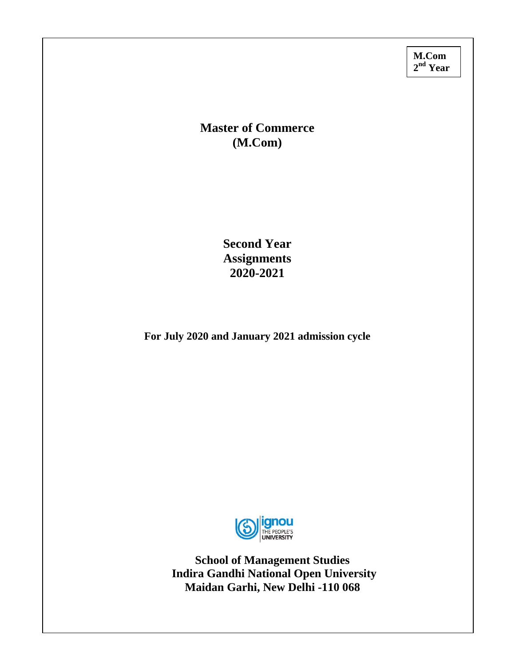**M.Com 2nd Year** 

# **Master of Commerce (M.Com)**

**Second Year Assignments 2020-2021** 

 **For July 2020 and January 2021 admission cycle** 



**School of Management Studies Indira Gandhi National Open University Maidan Garhi, New Delhi -110 068**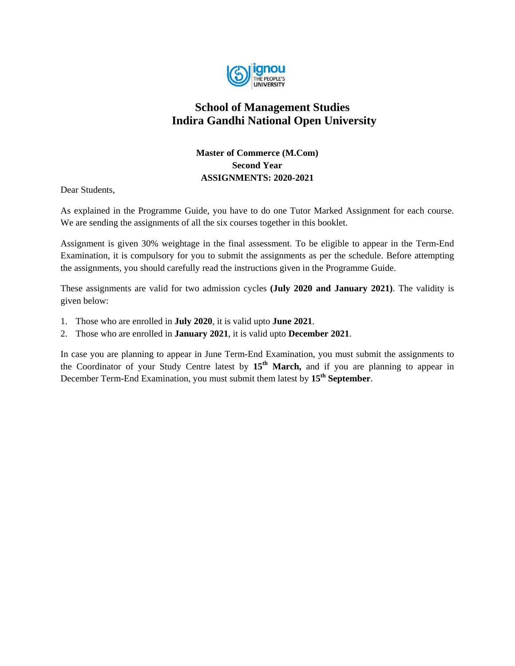

# **School of Management Studies Indira Gandhi National Open University**

# **Master of Commerce (M.Com) Second Year ASSIGNMENTS: 2020-2021**

Dear Students,

As explained in the Programme Guide, you have to do one Tutor Marked Assignment for each course. We are sending the assignments of all the six courses together in this booklet.

Assignment is given 30% weightage in the final assessment. To be eligible to appear in the Term-End Examination, it is compulsory for you to submit the assignments as per the schedule. Before attempting the assignments, you should carefully read the instructions given in the Programme Guide.

These assignments are valid for two admission cycles **(July 2020 and January 2021)**. The validity is given below:

- 1. Those who are enrolled in **July 2020**, it is valid upto **June 2021**.
- 2. Those who are enrolled in **January 2021**, it is valid upto **December 2021**.

In case you are planning to appear in June Term-End Examination, you must submit the assignments to the Coordinator of your Study Centre latest by **15th March,** and if you are planning to appear in December Term-End Examination, you must submit them latest by **15th September**.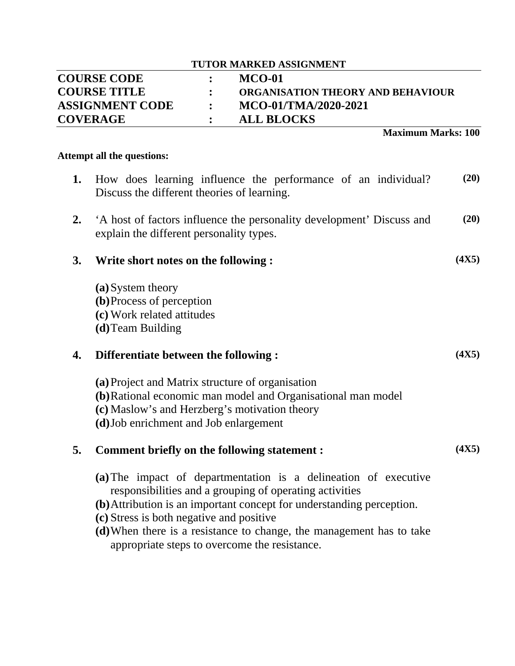| <b>TUTOR MARKED ASSIGNMENT</b>      |  |                                   |  |  |
|-------------------------------------|--|-----------------------------------|--|--|
| <b>COURSE CODE</b><br><b>MCO-01</b> |  |                                   |  |  |
| <b>COURSE TITLE</b>                 |  | ORGANISATION THEORY AND BEHAVIOUR |  |  |
| <b>ASSIGNMENT CODE</b>              |  | MCO-01/TMA/2020-2021              |  |  |
| <b>COVERAGE</b>                     |  | <b>ALL BLOCKS</b>                 |  |  |

**Maximum Marks: 100**

## **Attempt all the questions:**

- **1.** How does learning influence the performance of an individual? Discuss the different theories of learning. **(20) 2.** 'A host of factors influence the personality development' Discuss and explain the different personality types. **(20) 3. Write short notes on the following : (a)**System theory **(4X5)**
	- **(b)**Process of perception **(c)** Work related attitudes **(d)**Team Building

# **4. Differentiate between the following :**

- **(a)**Project and Matrix structure of organisation
- **(b)**Rational economic man model and Organisational man model
- **(c)** Maslow's and Herzberg's motivation theory
- **(d)**Job enrichment and Job enlargement

# **5. Comment briefly on the following statement :**

**(4X5)**

**(4X5)**

- **(a)**The impact of departmentation is a delineation of executive responsibilities and a grouping of operating activities
- **(b)**Attribution is an important concept for understanding perception.
- **(c)** Stress is both negative and positive
- **(d)**When there is a resistance to change, the management has to take appropriate steps to overcome the resistance.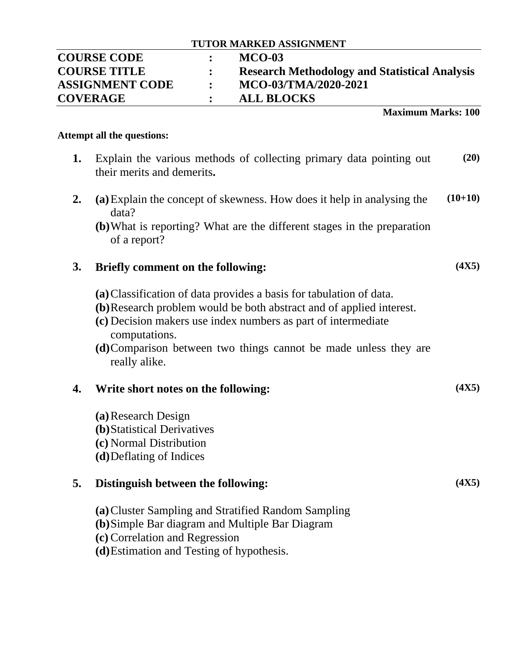| <b>COURSE CODE</b>     | <b>MCO-03</b>                                        |
|------------------------|------------------------------------------------------|
| <b>COURSE TITLE</b>    | <b>Research Methodology and Statistical Analysis</b> |
| <b>ASSIGNMENT CODE</b> | MCO-03/TMA/2020-2021                                 |
| <b>COVERAGE</b>        | <b>ALL BLOCKS</b>                                    |

**Maximum Marks: 100**

**(4X5)**

**(4X5)**

**(4X5)**

## **Attempt all the questions:**

- **1.** Explain the various methods of collecting primary data pointing out their merits and demerits**. (20)**
- **2. (a)**Explain the concept of skewness. How does it help in analysing the data? **(10+10)**
	- **(b)**What is reporting? What are the different stages in the preparation of a report?

# **3. Briefly comment on the following:**

- **(a)**Classification of data provides a basis for tabulation of data.
- **(b)**Research problem would be both abstract and of applied interest.
- **(c)** Decision makers use index numbers as part of intermediate computations.
- **(d)**Comparison between two things cannot be made unless they are really alike.

# **4. Write short notes on the following:**

**(a)**Research Design **(b)**Statistical Derivatives **(c)** Normal Distribution **(d)**Deflating of Indices

## **5. Distinguish between the following:**

**(a)**Cluster Sampling and Stratified Random Sampling

**(b)**Simple Bar diagram and Multiple Bar Diagram

**(c)** Correlation and Regression

**(d)**Estimation and Testing of hypothesis.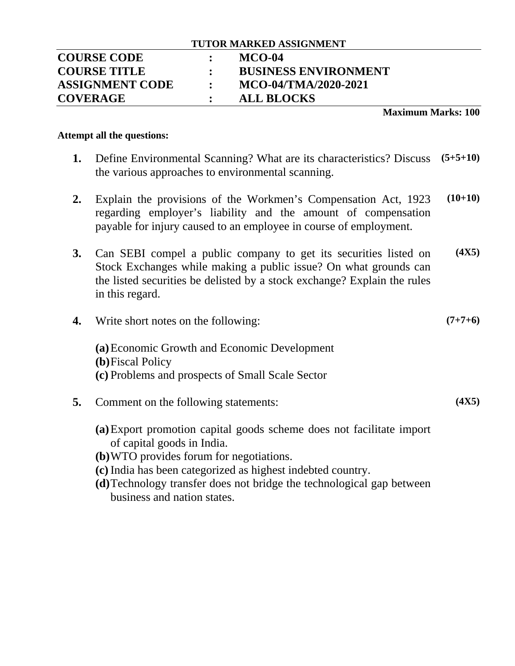# **COURSE CODE : MCO-04 COURSE TITLE : BUSINESS ENVIRONMENT ASSIGNMENT CODE : MCO-04/TMA/2020-2021 COVERAGE : ALL BLOCKS**

## **Maximum Marks: 100**

## **Attempt all the questions:**

- **1.** Define Environmental Scanning? What are its characteristics? Discuss the various approaches to environmental scanning. **(5+5+10)**
- **2.** Explain the provisions of the Workmen's Compensation Act, 1923 regarding employer's liability and the amount of compensation payable for injury caused to an employee in course of employment. **(10+10)**
- **3.** Can SEBI compel a public company to get its securities listed on Stock Exchanges while making a public issue? On what grounds can the listed securities be delisted by a stock exchange? Explain the rules in this regard. **(4X5)**
- **4.** Write short notes on the following: **(a)**Economic Growth and Economic Development **(b)**Fiscal Policy **(c)** Problems and prospects of Small Scale Sector **(7+7+6) 5.** Comment on the following statements: **(4X5)**
	- **(a)**Export promotion capital goods scheme does not facilitate import of capital goods in India.
	- **(b)**WTO provides forum for negotiations.
	- **(c)** India has been categorized as highest indebted country.
	- **(d)**Technology transfer does not bridge the technological gap between business and nation states.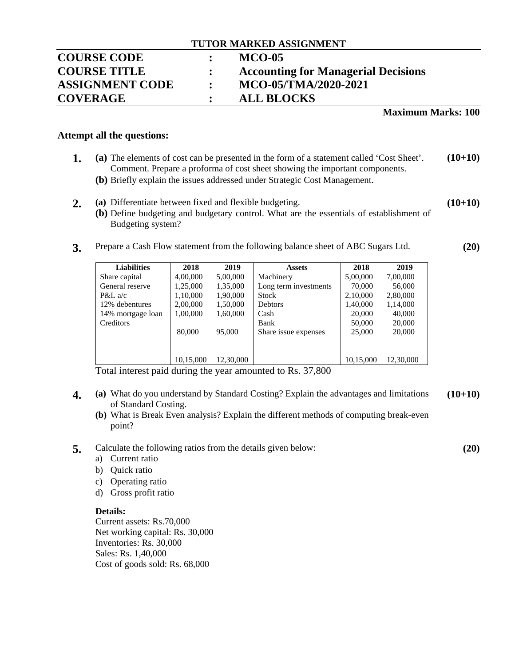# **COURSE CODE : MCO-05 COURSE TITLE : Accounting for Managerial Decisions ASSIGNMENT CODE : MCO-05/TMA/2020-2021 COVERAGE : ALL BLOCKS**

#### **Maximum Marks: 100**

#### **Attempt all the questions:**

- **1. (a)** The elements of cost can be presented in the form of a statement called 'Cost Sheet'. Comment. Prepare a proforma of cost sheet showing the important components. **(10+10)**
	- **(b)** Briefly explain the issues addressed under Strategic Cost Management.
- **2. (a)** Differentiate between fixed and flexible budgeting. **(10+10)**
	- **(b)** Define budgeting and budgetary control. What are the essentials of establishment of Budgeting system?
- **3.** Prepare a Cash Flow statement from the following balance sheet of ABC Sugars Ltd.

| <b>Liabilities</b> | 2018      | 2019      | <b>Assets</b>         | 2018      | 2019      |
|--------------------|-----------|-----------|-----------------------|-----------|-----------|
| Share capital      | 4,00,000  | 5,00,000  | Machinery             | 5,00,000  | 7,00,000  |
| General reserve    | 1,25,000  | 1,35,000  | Long term investments | 70,000    | 56,000    |
| $P&L\,a/c$         | 1,10,000  | 1,90,000  | <b>Stock</b>          | 2,10,000  | 2,80,000  |
| 12% debentures     | 2,00,000  | 1,50,000  | <b>Debtors</b>        | 1,40,000  | 1,14,000  |
| 14% mortgage loan  | 1,00,000  | 1,60,000  | Cash                  | 20,000    | 40,000    |
| Creditors          |           |           | Bank                  | 50,000    | 20,000    |
|                    | 80,000    | 95,000    | Share issue expenses  | 25,000    | 20,000    |
|                    |           |           |                       |           |           |
|                    |           |           |                       |           |           |
|                    | 10,15,000 | 12,30,000 |                       | 10,15,000 | 12,30,000 |

Total interest paid during the year amounted to Rs. 37,800

- **4. (a)** What do you understand by Standard Costing? Explain the advantages and limitations of Standard Costing. **(10+10)**
	- **(b)** What is Break Even analysis? Explain the different methods of computing break-even point?
- **5.** Calculate the following ratios from the details given below:
	- a) Current ratio
	- b) Quick ratio
	- c) Operating ratio
	- d) Gross profit ratio

#### **Details:**

Current assets: Rs.70,000 Net working capital: Rs. 30,000 Inventories: Rs. 30,000 Sales: Rs. 1,40,000 Cost of goods sold: Rs. 68,000

**(20)**

**(20)**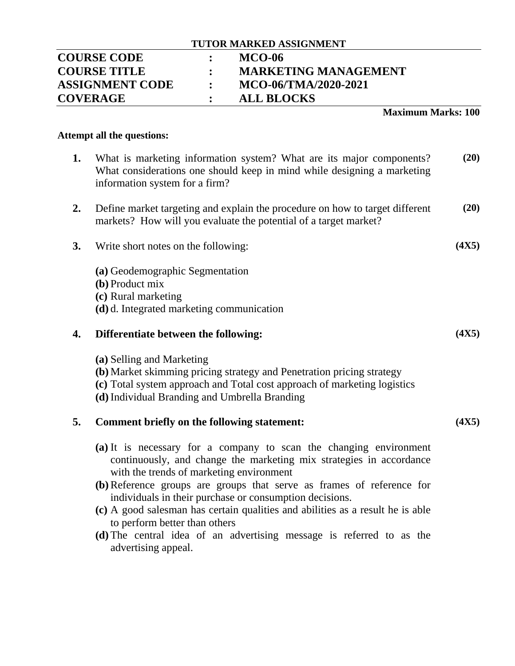# **COURSE CODE : MCO-06 COURSE TITLE : MARKETING MANAGEMENT ASSIGNMENT CODE : MCO-06/TMA/2020-2021 COVERAGE : ALL BLOCKS**

## **Maximum Marks: 100**

## **Attempt all the questions:**

- **1.** What is marketing information system? What are its major components? What considerations one should keep in mind while designing a marketing information system for a firm? **(20)**
- **2.** Define market targeting and explain the procedure on how to target different markets? How will you evaluate the potential of a target market? **(20)**
- **3.** Write short notes on the following:
	- **(a)** Geodemographic Segmentation
	- **(b)** Product mix
	- **(c)** Rural marketing
	- **(d)** d. Integrated marketing communication

# **4. Differentiate between the following:**

- **(a)** Selling and Marketing
- **(b)** Market skimming pricing strategy and Penetration pricing strategy
- **(c)** Total system approach and Total cost approach of marketing logistics
- **(d)**Individual Branding and Umbrella Branding

# **5. Comment briefly on the following statement:**

- **(a)** It is necessary for a company to scan the changing environment continuously, and change the marketing mix strategies in accordance with the trends of marketing environment
- **(b)**Reference groups are groups that serve as frames of reference for individuals in their purchase or consumption decisions.
- **(c)** A good salesman has certain qualities and abilities as a result he is able to perform better than others
- **(d)** The central idea of an advertising message is referred to as the advertising appeal.

**(4X5)**

**(4X5)**

**(4X5)**